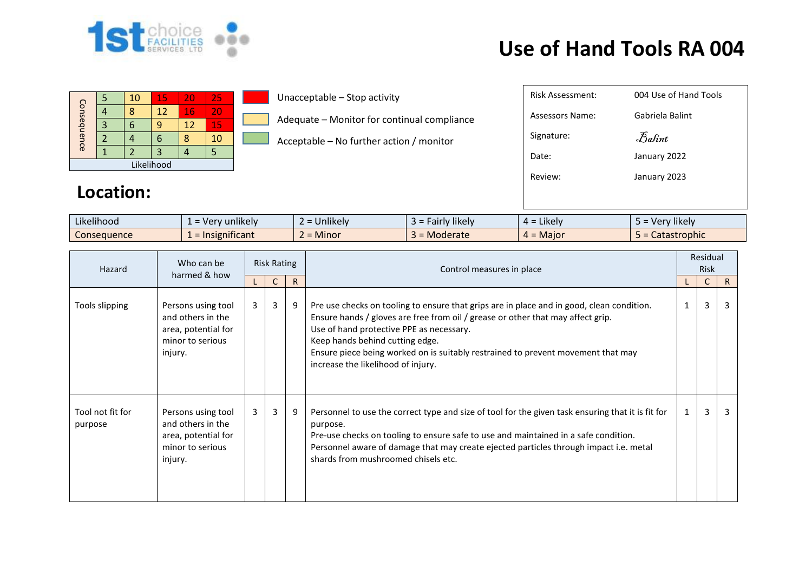

## **Use of Hand Tools RA 004**

| Consequence |  | 10 | 15 | 20 | 25 |  |  |  |
|-------------|--|----|----|----|----|--|--|--|
|             |  |    | 12 | 16 | 20 |  |  |  |
|             |  |    | q  | 12 | 15 |  |  |  |
|             |  |    | п  |    | 10 |  |  |  |
|             |  |    |    |    |    |  |  |  |
| Likelihood  |  |    |    |    |    |  |  |  |

Unacceptable – Stop activity

Adequate – Monitor for continual compliance

Acceptable – No further action / monitor

| <b>Risk Assessment:</b> | 004 Use of Hand Tools |
|-------------------------|-----------------------|
| Assessors Name:         | Gabriela Balint       |
| Signature:              | Balint                |
| Date:                   | January 2022          |
| Review:                 | January 2023          |
|                         |                       |
|                         |                       |

## **Location:**

| $\cdots$<br>$\cdots$<br>Likelihood | unlikely<br>verv        | $\cdots$<br>Jnlikelv | $\cdots$<br>$\sim$<br>*likely<br>-<br>гант<br>$\sim$<br>ຼ | $\cdots$<br>Likely<br>$4 =$ | Verv likelv  |
|------------------------------------|-------------------------|----------------------|-----------------------------------------------------------|-----------------------------|--------------|
| Consequence                        | nificant<br>$.$ $ISIer$ | Minor                | Moderate                                                  | . = Maior                   | Catastrophic |

| Hazard                      | Who can be<br>harmed & how                                                                    | <b>Risk Rating</b> |                |              | Control measures in place                                                                                                                                                                                                                                                                                                                                                             | Residual<br><b>Risk</b> |              |              |  |
|-----------------------------|-----------------------------------------------------------------------------------------------|--------------------|----------------|--------------|---------------------------------------------------------------------------------------------------------------------------------------------------------------------------------------------------------------------------------------------------------------------------------------------------------------------------------------------------------------------------------------|-------------------------|--------------|--------------|--|
|                             |                                                                                               |                    | C.             | $\mathsf{R}$ |                                                                                                                                                                                                                                                                                                                                                                                       |                         | $\mathsf{C}$ | $\mathsf{R}$ |  |
| Tools slipping              | Persons using tool<br>and others in the<br>area, potential for<br>minor to serious<br>injury. | 3                  | $\overline{3}$ | 9            | Pre use checks on tooling to ensure that grips are in place and in good, clean condition.<br>Ensure hands / gloves are free from oil / grease or other that may affect grip.<br>Use of hand protective PPE as necessary.<br>Keep hands behind cutting edge.<br>Ensure piece being worked on is suitably restrained to prevent movement that may<br>increase the likelihood of injury. | $\mathbf{1}$            | 3            | 3            |  |
| Tool not fit for<br>purpose | Persons using tool<br>and others in the<br>area, potential for<br>minor to serious<br>injury. | 3                  | $\overline{3}$ | 9            | Personnel to use the correct type and size of tool for the given task ensuring that it is fit for<br>purpose.<br>Pre-use checks on tooling to ensure safe to use and maintained in a safe condition.<br>Personnel aware of damage that may create ejected particles through impact i.e. metal<br>shards from mushroomed chisels etc.                                                  |                         | 3            |              |  |